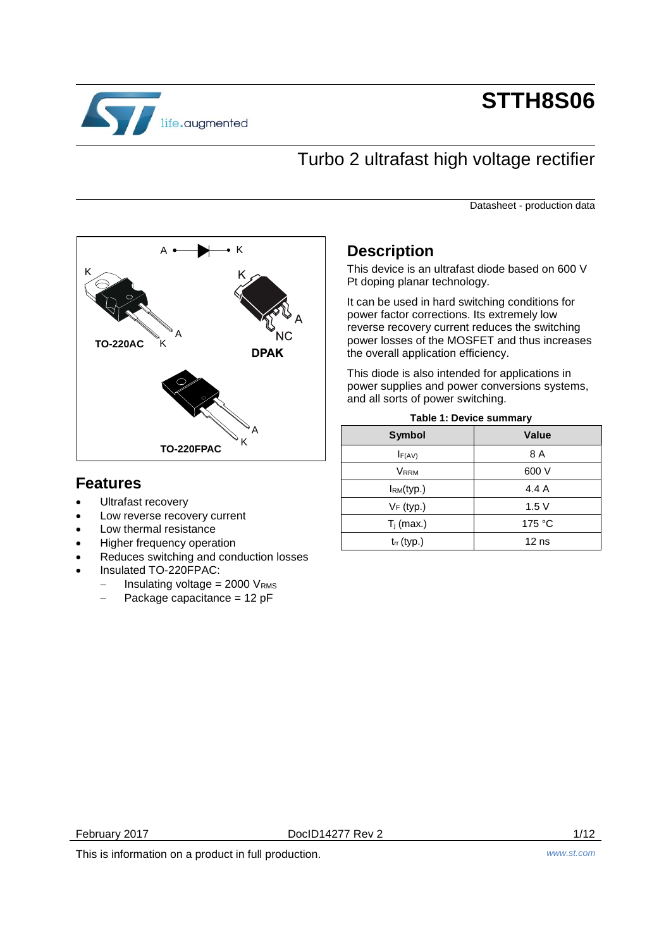

# **STTH8S06**

# Turbo 2 ultrafast high voltage rectifier

Datasheet - production data



## <span id="page-0-0"></span>**Features**

- Ultrafast recovery
- Low reverse recovery current
- Low thermal resistance
- Higher frequency operation
- Reduces switching and conduction losses
- Insulated TO-220FPAC:
	- $-$  Insulating voltage = 2000 VRMS
	- $-$  Package capacitance = 12 pF

## **Description**

This device is an ultrafast diode based on 600 V Pt doping planar technology.

It can be used in hard switching conditions for power factor corrections. Its extremely low reverse recovery current reduces the switching power losses of the MOSFET and thus increases the overall application efficiency.

This diode is also intended for applications in power supplies and power conversions systems, and all sorts of power switching.

| <b>Symbol</b>   | <b>Value</b>     |
|-----------------|------------------|
| $I_{F(AV)}$     | 8 A              |
| <b>VRRM</b>     | 600 V            |
| IRM(typ.)       | 4.4 A            |
| $V_F$ (typ.)    | 1.5V             |
| $T_i$ (max.)    | 175 °C           |
| $t_{rr}$ (typ.) | 12 <sub>ns</sub> |

### **Table 1: Device summary**

February 2017 DocID14277 Rev 2 1/12

This is information on a product in full production. *www.st.com*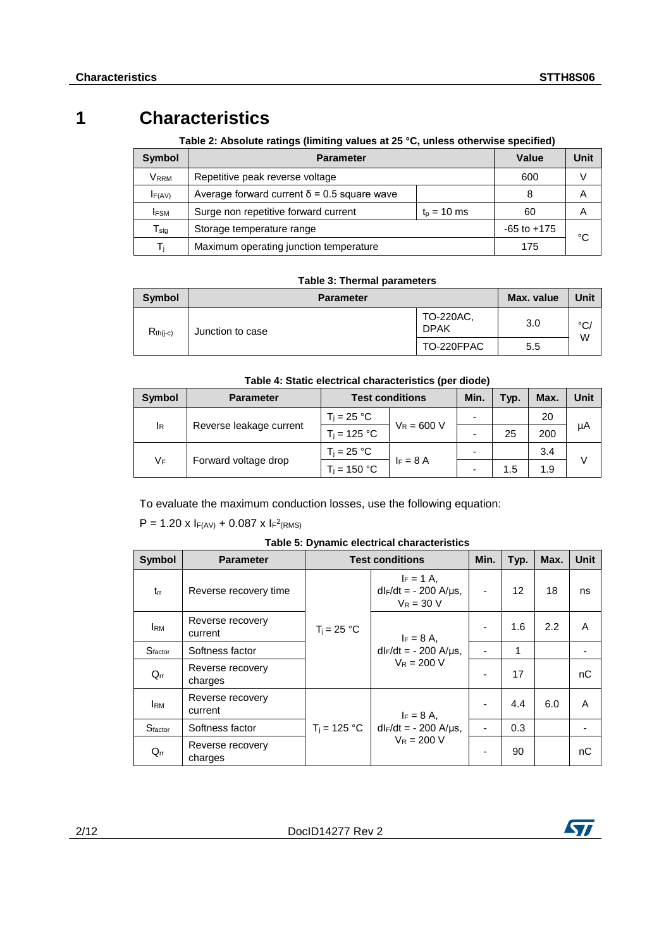# **1 Characteristics**

**Table 2: Absolute ratings (limiting values at 25 °C, unless otherwise specified)**

| Symbol                  | <b>Parameter</b>                                   |                 | <b>Value</b> | Unit |
|-------------------------|----------------------------------------------------|-----------------|--------------|------|
| <b>V</b> <sub>RRM</sub> | Repetitive peak reverse voltage                    | 600             | v            |      |
| $I_{F(AV)}$             | Average forward current $\delta$ = 0.5 square wave |                 | Α            |      |
| <b>IFSM</b>             | Surge non repetitive forward current               | 60              | A            |      |
| $T_{\rm stg}$           | Storage temperature range                          | $-65$ to $+175$ |              |      |
| Τì                      | Maximum operating junction temperature             |                 | 175          | °C   |

### **Table 3: Thermal parameters**

| <b>Symbol</b> | <b>Parameter</b> | Max. value               | Unit |                    |
|---------------|------------------|--------------------------|------|--------------------|
| $R_{th(j-c)}$ | Junction to case | TO-220AC.<br><b>DPAK</b> | 3.0  | $^{\circ}$ C/<br>W |
|               |                  | TO-220FPAC               | 5.5  |                    |

## **Table 4: Static electrical characteristics (per diode)**

| <b>Symbol</b>              | <b>Parameter</b>              | <b>Test conditions</b> |               | Min.                     | Typ. | Max. | Unit |
|----------------------------|-------------------------------|------------------------|---------------|--------------------------|------|------|------|
|                            |                               | $T_i = 25 °C$          | $V_R = 600 V$ | -                        |      | 20   |      |
|                            | Reverse leakage current<br>ΙR | $T_i = 125 °C$         |               | $\overline{\phantom{0}}$ | 25   | 200  | μA   |
|                            |                               | $T_i = 25 °C$          |               | $\overline{\phantom{0}}$ |      | 3.4  |      |
| VF<br>Forward voltage drop |                               | $T_i = 150 °C$         | $F = 8A$      | $\overline{\phantom{0}}$ | 1.5  | 1.9  |      |

To evaluate the maximum conduction losses, use the following equation:

 $P = 1.20 \times I_{F(AV)} + 0.087 \times I_{F}^{2}$ (RMS)

| <b>Symbol</b>       | <b>Parameter</b>            |                | <b>Test conditions</b>                                      | Min. | Typ. | Max. | <b>Unit</b> |
|---------------------|-----------------------------|----------------|-------------------------------------------------------------|------|------|------|-------------|
| $t_{rr}$            | Reverse recovery time       |                | $I_F = 1 A$ .<br>$dF/dt = -200$ A/ $\mu$ s,<br>$V_R = 30 V$ | ٠    | 12   | 18   | ns          |
| <b>I</b> RM         | Reverse recovery<br>current | $T_i = 25 °C$  | $I_F = 8 A$ .                                               |      | 1.6  | 2.2  | A           |
| S <sub>factor</sub> | Softness factor             |                | $dl_F/dt = -200$ A/ $\mu$ s,                                |      | 1    |      |             |
| $Q_{rr}$            | Reverse recovery<br>charges |                | $V_R = 200 V$                                               |      | 17   |      | nC          |
| <b>I</b> RM         | Reverse recovery<br>current |                | $I_F = 8 A$ ,                                               |      | 4.4  | 6.0  | A           |
| Sfactor             | Softness factor             | $T_i = 125 °C$ | $dl_F/dt = -200$ A/µs,                                      |      | 0.3  |      |             |
| $Q_{rr}$            | Reverse recovery<br>charges |                | $V_R = 200 V$                                               |      | 90   |      | nC          |

| Table 5: Dynamic electrical characteristics |  |  |
|---------------------------------------------|--|--|
|---------------------------------------------|--|--|

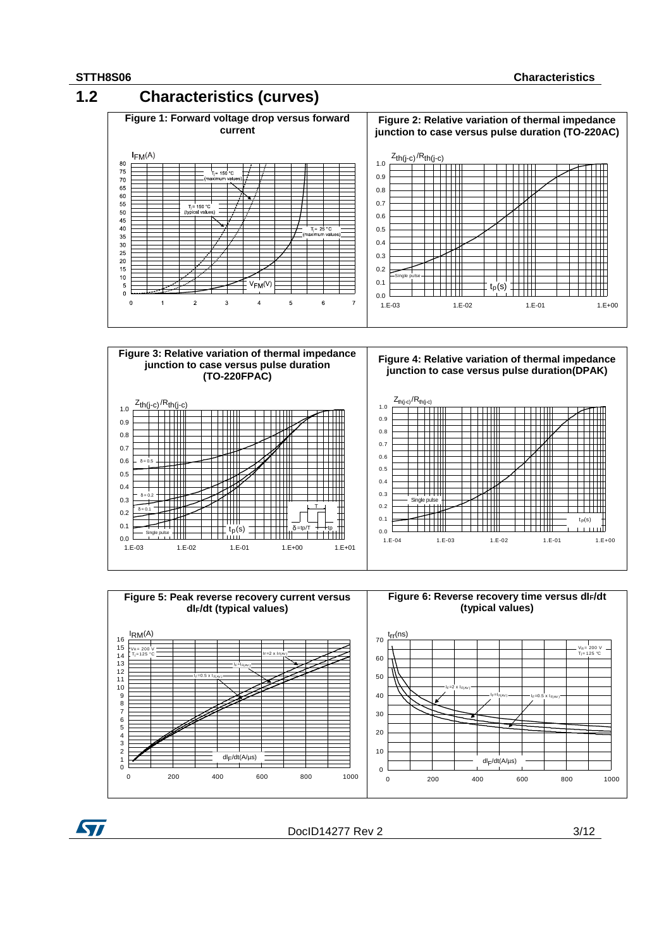57

0 200 400 600 800 1000

dlF /dt(A/µs)



 $\Omega$ 10 20

DocID14277 Rev 2 3/12

0 200 400 600 800 1000

dlF /dt(A/µs)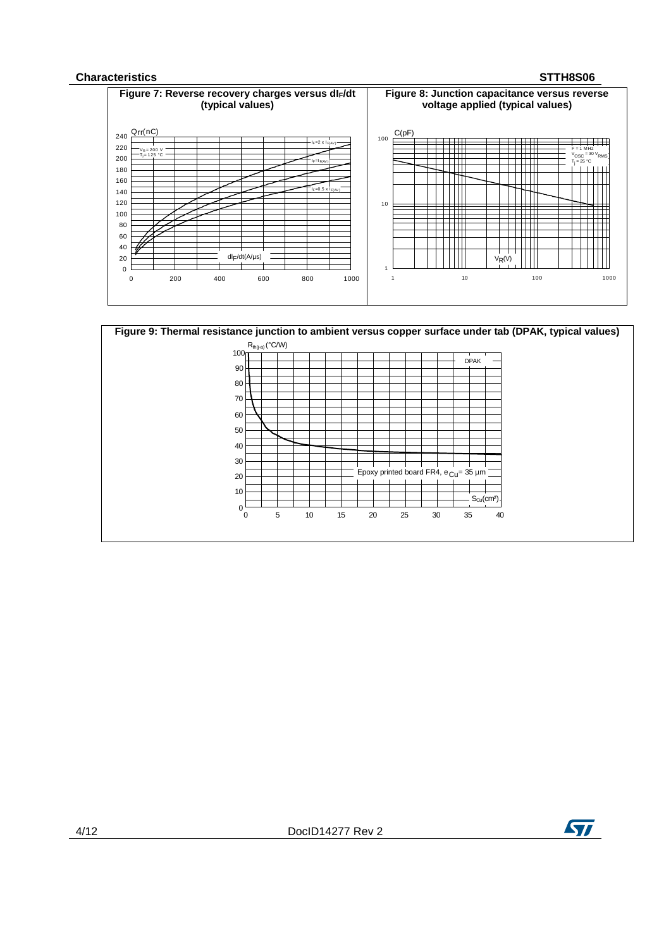### **Characteristics STTH8S06**





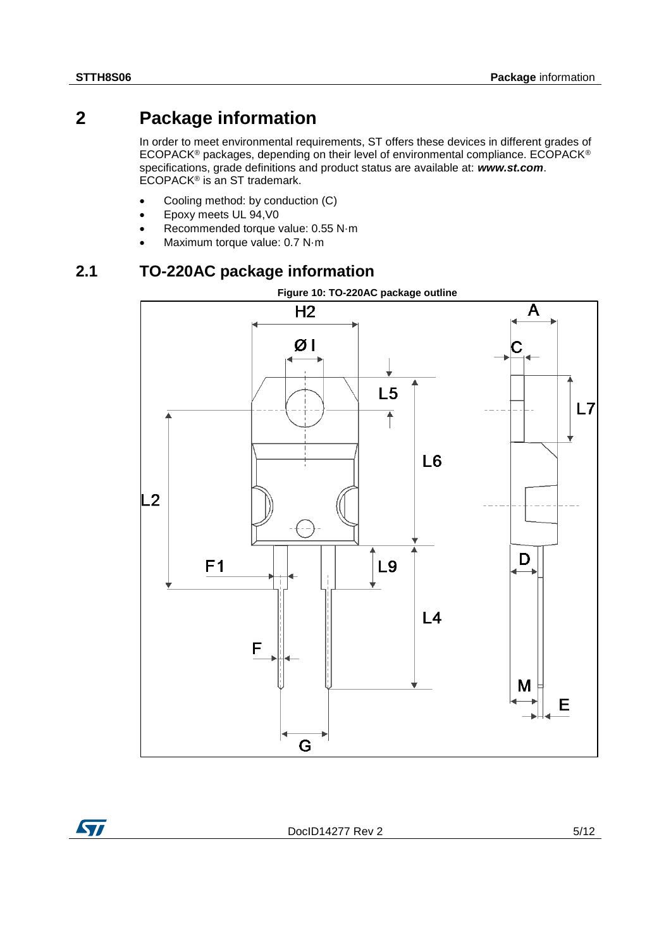## **2 Package information**

In order to meet environmental requirements, ST offers these devices in different grades of ECOPACK® packages, depending on their level of environmental compliance. ECOPACK® specifications, grade definitions and product status are available at: *www.st.com*. ECOPACK® is an ST trademark.

- Cooling method: by conduction (C)
- Epoxy meets UL 94,V0
- Recommended torque value: 0.55 N·m
- Maximum torque value: 0.7 N·m

## **2.1 TO-220AC package information**



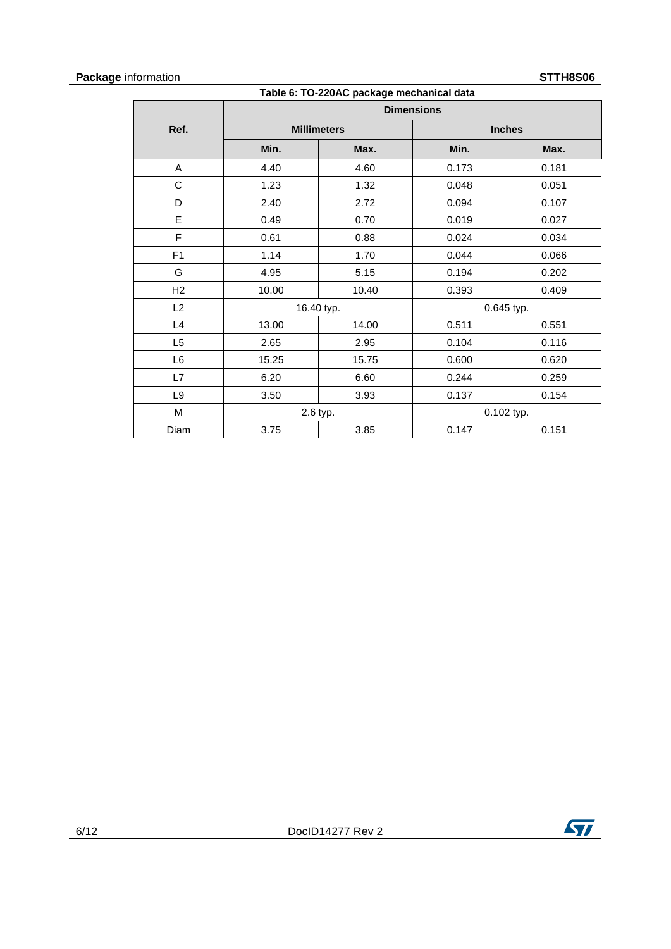### **Package** information **STTH8S06**

|                |       | Table 6: TO-220AC package mechanical data |                   |       |
|----------------|-------|-------------------------------------------|-------------------|-------|
|                |       |                                           | <b>Dimensions</b> |       |
| Ref.           |       | <b>Millimeters</b>                        | <b>Inches</b>     |       |
|                | Min.  | Max.                                      | Min.              | Max.  |
| Α              | 4.40  | 4.60                                      | 0.173             | 0.181 |
| C              | 1.23  | 1.32                                      | 0.048             | 0.051 |
| D              | 2.40  | 2.72                                      | 0.094             | 0.107 |
| E              | 0.49  | 0.70                                      | 0.019             | 0.027 |
| F              | 0.61  | 0.88                                      | 0.024             | 0.034 |
| F <sub>1</sub> | 1.14  | 1.70                                      | 0.044             | 0.066 |
| G              | 4.95  | 5.15                                      | 0.194             | 0.202 |
| H2             | 10.00 | 10.40                                     | 0.393             | 0.409 |
| L2             |       | 16.40 typ.                                | 0.645 typ.        |       |
| L4             | 13.00 | 14.00                                     | 0.511             | 0.551 |
| L <sub>5</sub> | 2.65  | 2.95                                      | 0.104             | 0.116 |
| L6             | 15.25 | 15.75                                     | 0.600             | 0.620 |
| L7             | 6.20  | 6.60                                      | 0.244             | 0.259 |
| L9             | 3.50  | 3.93                                      | 0.137             | 0.154 |
| M              |       | 2.6 typ.                                  | 0.102 typ.        |       |
| Diam           | 3.75  | 3.85                                      | 0.147             | 0.151 |

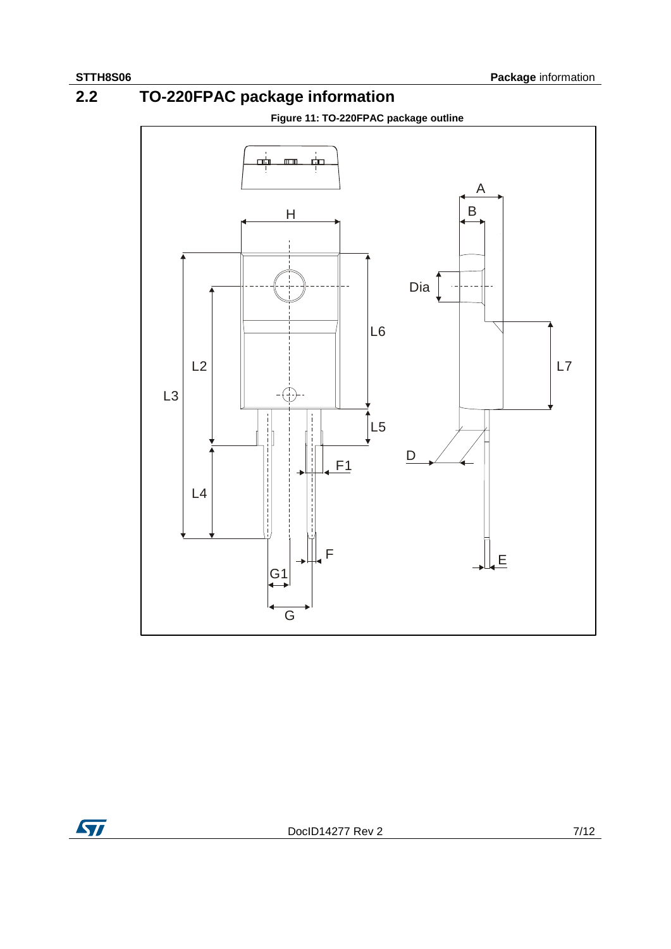**2.2 TO-220FPAC package information**





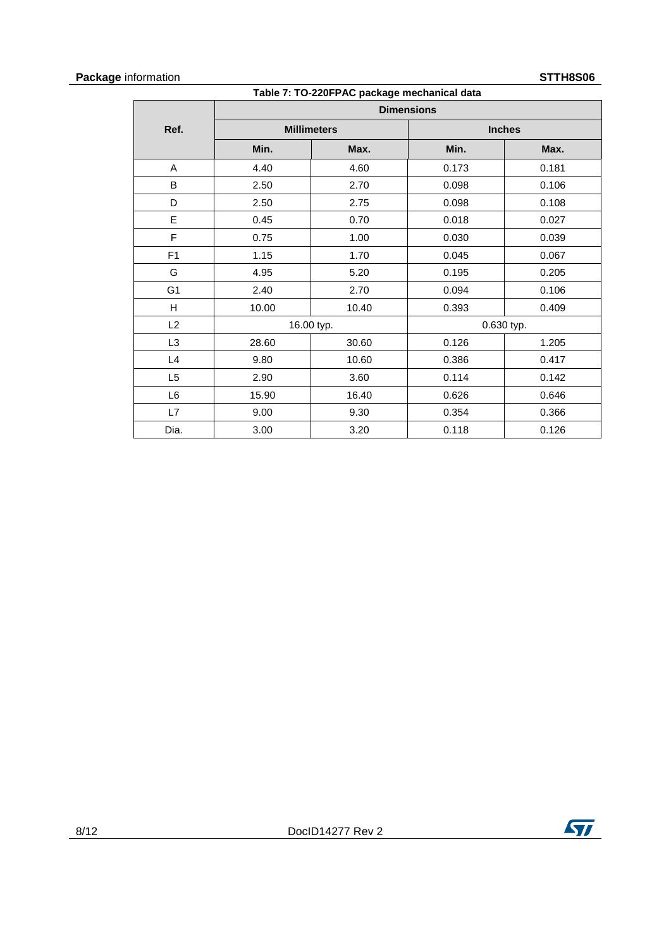### **Package** information **STTH8S06**

| Table 7: TO-220FPAC package mechanical data |       |                    |                   |               |  |
|---------------------------------------------|-------|--------------------|-------------------|---------------|--|
|                                             |       |                    | <b>Dimensions</b> |               |  |
| Ref.                                        |       | <b>Millimeters</b> |                   | <b>Inches</b> |  |
|                                             | Min.  | Max.               | Min.              | Max.          |  |
| A                                           | 4.40  | 4.60               | 0.173             | 0.181         |  |
| B                                           | 2.50  | 2.70               | 0.098             | 0.106         |  |
| D                                           | 2.50  | 2.75               | 0.098             | 0.108         |  |
| E                                           | 0.45  | 0.70               | 0.018             | 0.027         |  |
| F                                           | 0.75  | 1.00               | 0.030             | 0.039         |  |
| F1                                          | 1.15  | 1.70               | 0.045             | 0.067         |  |
| G                                           | 4.95  | 5.20               | 0.195             | 0.205         |  |
| G <sub>1</sub>                              | 2.40  | 2.70               | 0.094             | 0.106         |  |
| H                                           | 10.00 | 10.40              | 0.393             | 0.409         |  |
| L2                                          |       | 16.00 typ.         |                   | 0.630 typ.    |  |
| L <sub>3</sub>                              | 28.60 | 30.60              | 0.126             | 1.205         |  |
| L4                                          | 9.80  | 10.60              | 0.386             | 0.417         |  |
| L <sub>5</sub>                              | 2.90  | 3.60               | 0.114             | 0.142         |  |
| L <sub>6</sub>                              | 15.90 | 16.40              | 0.626             | 0.646         |  |
| L7                                          | 9.00  | 9.30               | 0.354             | 0.366         |  |
| Dia.                                        | 3.00  | 3.20               | 0.118             | 0.126         |  |

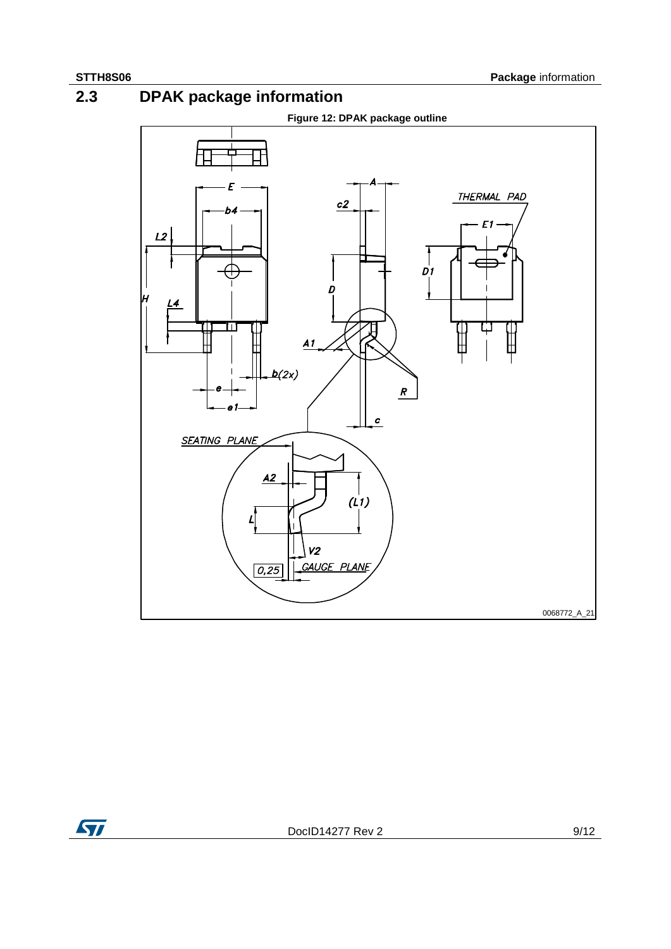**2.3 DPAK package information**



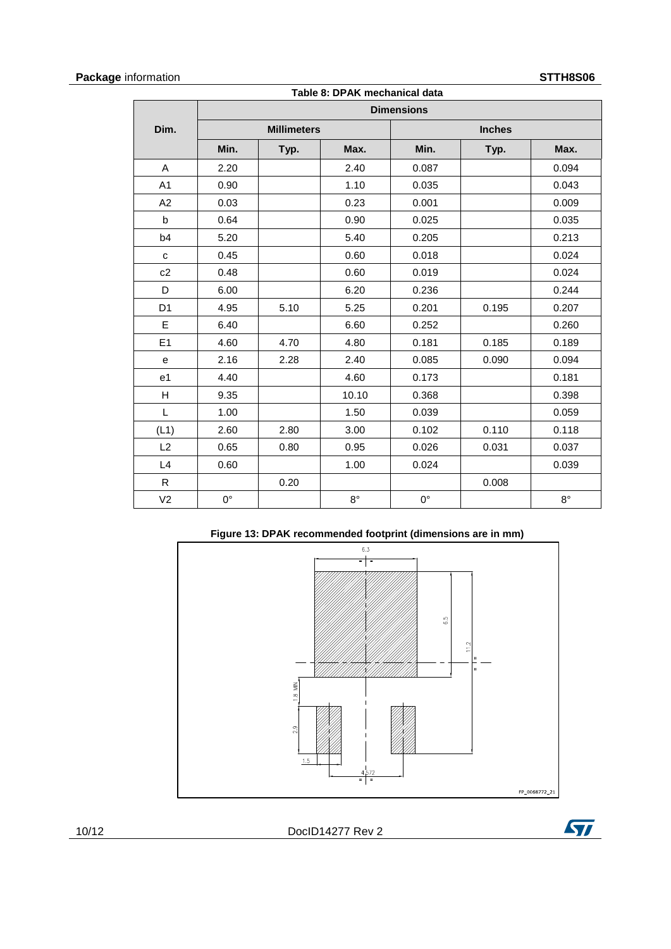## **Package** information **STTH8S06**

| Table 8: DPAK mechanical data |             |                    |             |                   |               |             |
|-------------------------------|-------------|--------------------|-------------|-------------------|---------------|-------------|
|                               |             |                    |             | <b>Dimensions</b> |               |             |
| Dim.                          |             | <b>Millimeters</b> |             |                   | <b>Inches</b> |             |
|                               | Min.        | Typ.               | Max.        | Min.              | Typ.          | Max.        |
| A                             | 2.20        |                    | 2.40        | 0.087             |               | 0.094       |
| A <sub>1</sub>                | 0.90        |                    | 1.10        | 0.035             |               | 0.043       |
| A2                            | 0.03        |                    | 0.23        | 0.001             |               | 0.009       |
| $\mathsf{b}$                  | 0.64        |                    | 0.90        | 0.025             |               | 0.035       |
| b4                            | 5.20        |                    | 5.40        | 0.205             |               | 0.213       |
| C                             | 0.45        |                    | 0.60        | 0.018             |               | 0.024       |
| c2                            | 0.48        |                    | 0.60        | 0.019             |               | 0.024       |
| D                             | 6.00        |                    | 6.20        | 0.236             |               | 0.244       |
| D <sub>1</sub>                | 4.95        | 5.10               | 5.25        | 0.201             | 0.195         | 0.207       |
| E                             | 6.40        |                    | 6.60        | 0.252             |               | 0.260       |
| E <sub>1</sub>                | 4.60        | 4.70               | 4.80        | 0.181             | 0.185         | 0.189       |
| ${\bf e}$                     | 2.16        | 2.28               | 2.40        | 0.085             | 0.090         | 0.094       |
| e <sub>1</sub>                | 4.40        |                    | 4.60        | 0.173             |               | 0.181       |
| н                             | 9.35        |                    | 10.10       | 0.368             |               | 0.398       |
| L                             | 1.00        |                    | 1.50        | 0.039             |               | 0.059       |
| (L1)                          | 2.60        | 2.80               | 3.00        | 0.102             | 0.110         | 0.118       |
| L2                            | 0.65        | 0.80               | 0.95        | 0.026             | 0.031         | 0.037       |
| L4                            | 0.60        |                    | 1.00        | 0.024             |               | 0.039       |
| R                             |             | 0.20               |             |                   | 0.008         |             |
| V <sub>2</sub>                | $0^{\circ}$ |                    | $8^{\circ}$ | $0^{\circ}$       |               | $8^{\circ}$ |



10/12 DocID14277 Rev 2

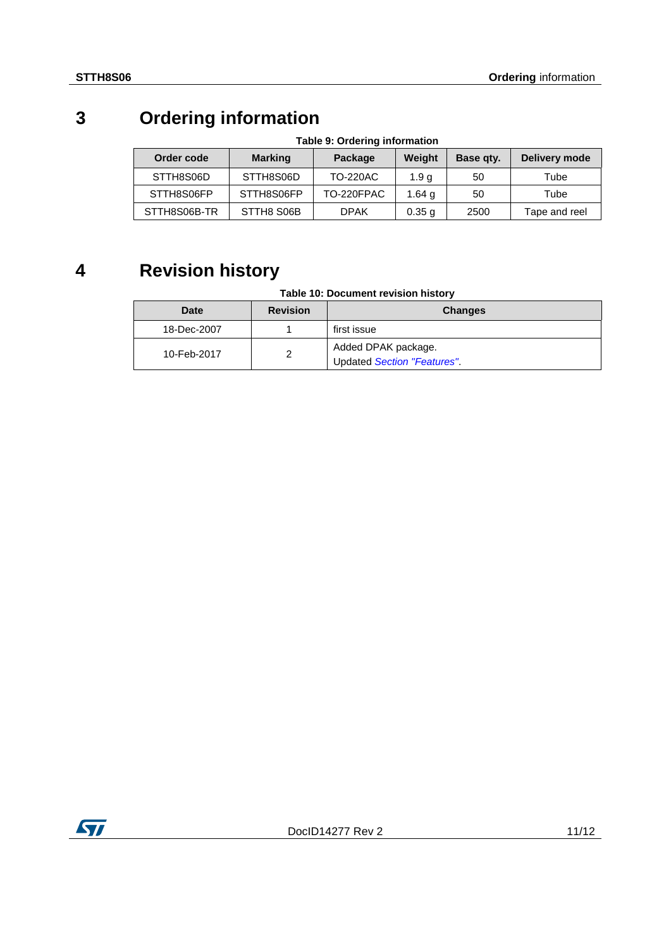# **3 Ordering information**

| Order code   | <b>Marking</b> | Package         | Weight            | Base gty. | Delivery mode |
|--------------|----------------|-----------------|-------------------|-----------|---------------|
| STTH8S06D    | STTH8S06D      | <b>TO-220AC</b> | 1.9 a             | 50        | Tube          |
| STTH8S06FP   | STTH8S06FP     | TO-220FPAC      | 1.64 g            | 50        | Tube          |
| STTH8S06B-TR | STTH8 S06B     | <b>DPAK</b>     | 0.35 <sub>q</sub> | 2500      | Tape and reel |

## **Table 9: Ordering information**

# **4 Revision history**

## **Table 10: Document revision history**

| Date        | <b>Revision</b> | <b>Changes</b>                                     |
|-------------|-----------------|----------------------------------------------------|
| 18-Dec-2007 |                 | first issue                                        |
| 10-Feb-2017 | ◠               | Added DPAK package.<br>Updated Section "Features". |